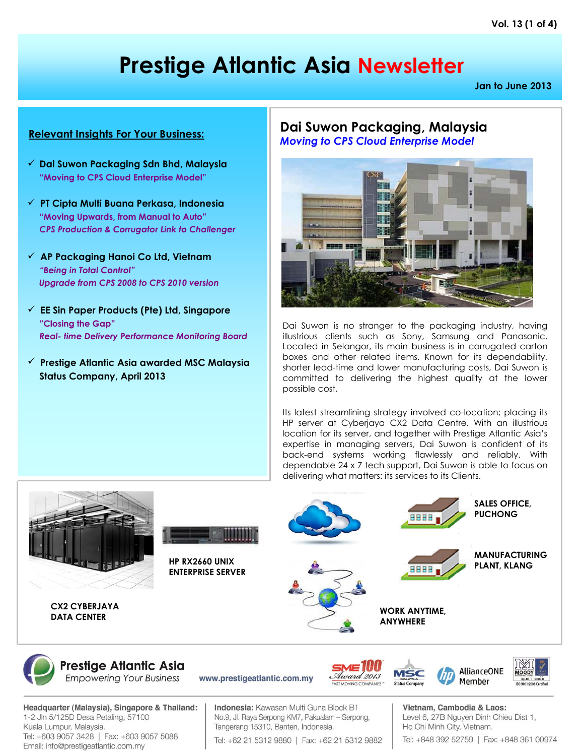# **Prestige Atlantic Asia Newsletter**

**Jan to June 2013**

#### **Relevant Insights For Your Business:**

- **Dai Suwon Packaging Sdn Bhd, Malaysia "Moving to CPS Cloud Enterprise Model"**
- **PT Cipta Multi Buana Perkasa, Indonesia "Moving Upwards, from Manual to Auto"** *CPS Production & Corrugator Link to Challenger*
- **AP Packaging Hanoi Co Ltd, Vietnam** *"Being in Total Control" Upgrade from CPS 2008 to CPS 2010 version*
- **EE Sin Paper Products (Pte) Ltd, Singapore "Closing the Gap"** *Real- time Delivery Performance Monitoring Board*
- **Prestige Atlantic Asia awarded MSC Malaysia Status Company, April 2013**

## **Dai Suwon Packaging, Malaysia** *Moving to CPS Cloud Enterprise Model*



Dai Suwon is no stranger to the packaging industry, having illustrious clients such as Sony, Samsung and Panasonic. Located in Selangor, its main business is in corrugated carton boxes and other related items. Known for its dependability, shorter lead-time and lower manufacturing costs, Dai Suwon is committed to delivering the highest quality at the lower possible cost.

Its latest streamlining strategy involved co-location; placing its HP server at Cyberjaya CX2 Data Centre. With an illustrious location for its server, and together with Prestige Atlantic Asia's expertise in managing servers, Dai Suwon is confident of its back-end systems working flawlessly and reliably. With dependable 24 x 7 tech support, Dai Suwon is able to focus on delivering what matters: its services to its Clients.



Headquarter (Malaysia), Singapore & Thailand: 1-2 Jln 5/125D Desa Petaling, 57100 Kuala Lumpur, Malaysia. Tel: +603 9057 3428 | Fax: +603 9057 5088 Email: info@prestigeatlantic.com.my

Indonesia: Kawasan Multi Guna Block B1 No.9, Jl. Raya Serpong KM7, Pakualam - Serpong, Tangerang 15310, Banten, Indonesia.

Tel: +62 21 5312 9880 | Fax: +62 21 5312 9882

Vietnam, Cambodia & Laos: Level 6, 27B Nguyen Dinh Chieu Dist 1, Ho Chi Minh City, Vietnam.

Tel: +848 392 52759 | Fax: +848 361 00974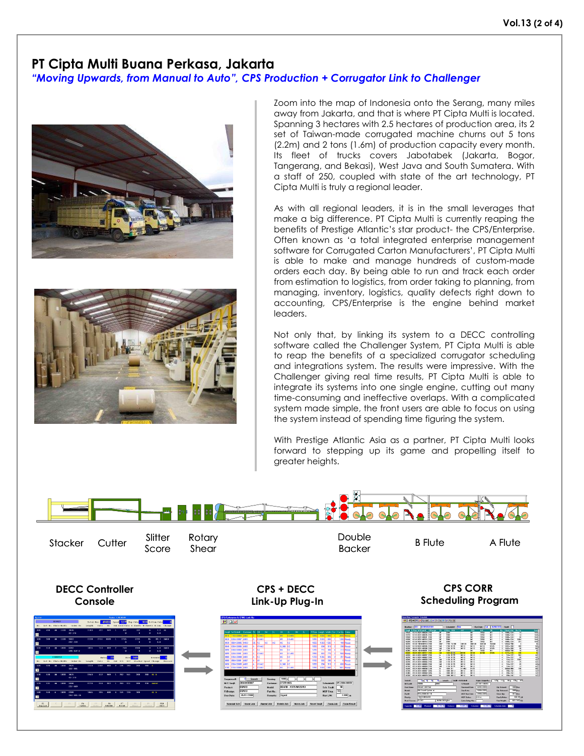#### **PT Cipta Multi Buana Perkasa, Jakarta**

#### *"Moving Upwards, from Manual to Auto", CPS Production + Corrugator Link to Challenger*





Zoom into the map of Indonesia onto the Serang, many miles away from Jakarta, and that is where PT Cipta Multi is located. Spanning 3 hectares with 2.5 hectares of production area, its 2 set of Taiwan-made corrugated machine churns out 5 tons (2.2m) and 2 tons (1.6m) of production capacity every month. Its fleet of trucks covers Jabotabek (Jakarta, Bogor, Tangerang, and Bekasi), West Java and South Sumatera. With a staff of 250, coupled with state of the art technology, PT Cipta Multi is truly a regional leader.

As with all regional leaders, it is in the small leverages that make a big difference. PT Cipta Multi is currently reaping the benefits of Prestige Atlantic's star product- the CPS/Enterprise. Often known as 'a total integrated enterprise management software for Corrugated Carton Manufacturers', PT Cipta Multi is able to make and manage hundreds of custom-made orders each day. By being able to run and track each order from estimation to logistics, from order taking to planning, from managing, inventory, logistics, quality defects right down to accounting, CPS/Enterprise is the engine behind market leaders.

Not only that, by linking its system to a DECC controlling software called the Challenger System, PT Cipta Multi is able to reap the benefits of a specialized corrugator scheduling and integrations system. The results were impressive. With the Challenger giving real time results, PT Cipta Multi is able to integrate its systems into one single engine, cutting out many time-consuming and ineffective overlaps. With a complicated system made simple, the front users are able to focus on using the system instead of spending time figuring the system.

With Prestige Atlantic Asia as a partner, PT Cipta Multi looks forward to stepping up its game and propelling itself to greater heights.

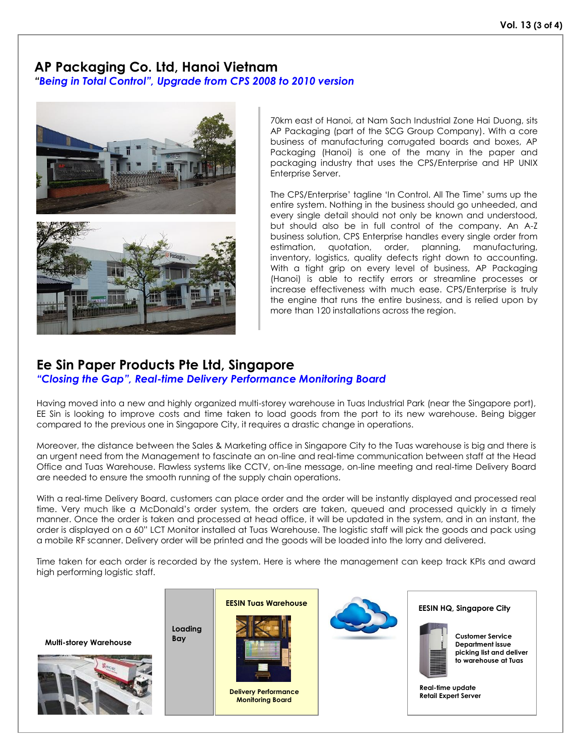### **AP Packaging Co. Ltd, Hanoi Vietnam** *"Being in Total Control", Upgrade from CPS 2008 to 2010 version*



70km east of Hanoi, at Nam Sach Industrial Zone Hai Duong, sits AP Packaging (part of the SCG Group Company). With a core business of manufacturing corrugated boards and boxes, AP Packaging (Hanoi) is one of the many in the paper and packaging industry that uses the CPS/Enterprise and HP UNIX Enterprise Server.

The CPS/Enterprise' tagline 'In Control. All The Time' sums up the entire system. Nothing in the business should go unheeded, and every single detail should not only be known and understood, but should also be in full control of the company. An A-Z business solution, CPS Enterprise handles every single order from estimation, quotation, order, planning, manufacturing, inventory, logistics, quality defects right down to accounting. With a tight grip on every level of business, AP Packaging (Hanoi) is able to rectify errors or streamline processes or increase effectiveness with much ease. CPS/Enterprise is truly the engine that runs the entire business, and is relied upon by more than 120 installations across the region.

## **Ee Sin Paper Products Pte Ltd, Singapore**

*"Closing the Gap", Real-time Delivery Performance Monitoring Board*

Having moved into a new and highly organized multi-storey warehouse in Tuas Industrial Park (near the Singapore port), EE Sin is looking to improve costs and time taken to load goods from the port to its new warehouse. Being bigger compared to the previous one in Singapore City, it requires a drastic change in operations.

Moreover, the distance between the Sales & Marketing office in Singapore City to the Tuas warehouse is big and there is an urgent need from the Management to fascinate an on-line and real-time communication between staff at the Head Office and Tuas Warehouse. Flawless systems like CCTV, on-line message, on-line meeting and real-time Delivery Board are needed to ensure the smooth running of the supply chain operations.

With a real-time Delivery Board, customers can place order and the order will be instantly displayed and processed real time. Very much like a McDonald's order system, the orders are taken, queued and processed quickly in a timely manner. Once the order is taken and processed at head office, it will be updated in the system, and in an instant, the order is displayed on a 60" LCT Monitor installed at Tuas Warehouse. The logistic staff will pick the goods and pack using a mobile RF scanner. Delivery order will be printed and the goods will be loaded into the lorry and delivered.

Time taken for each order is recorded by the system. Here is where the management can keep track KPIs and award high performing logistic staff.

**Bay Multi-storey Warehouse**







**EESIN HQ, Singapore City**



**Customer Service Department issue picking list and deliver to warehouse at Tuas**

**Real-time update Retail Expert Server**